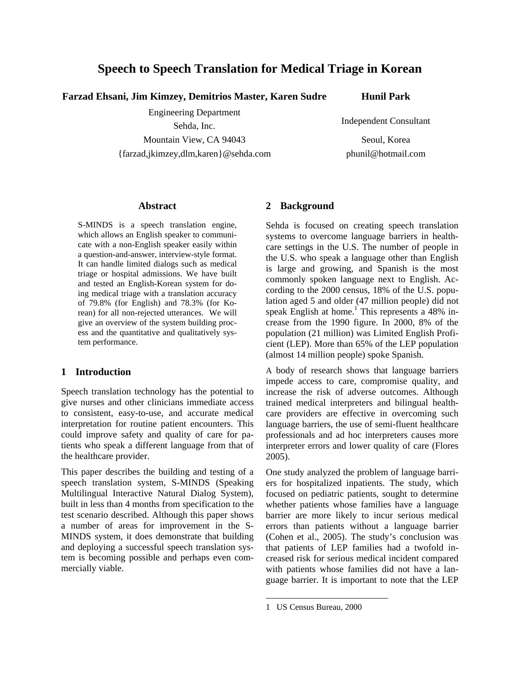# **Speech to Speech Translation for Medical Triage in Korean**

**Farzad Ehsani, Jim Kimzey, Demitrios Master, Karen Sudre Hunil Park**

Engineering Department

Mountain View, CA 94043 Seoul, Korea

{farzad,jkimzey,dlm,karen}@sehda.com phunil@hotmail.com

Sehda, Inc. **Independent Consultant** 

#### **Abstract**

S-MINDS is a speech translation engine, which allows an English speaker to communicate with a non-English speaker easily within a question-and-answer, interview-style format. It can handle limited dialogs such as medical triage or hospital admissions. We have built and tested an English-Korean system for doing medical triage with a translation accuracy of 79.8% (for English) and 78.3% (for Korean) for all non-rejected utterances. We will give an overview of the system building process and the quantitative and qualitatively system performance.

#### **1 Introduction**

Speech translation technology has the potential to give nurses and other clinicians immediate access to consistent, easy-to-use, and accurate medical interpretation for routine patient encounters. This could improve safety and quality of care for patients who speak a different language from that of the healthcare provider.

This paper describes the building and testing of a speech translation system, S-MINDS (Speaking Multilingual Interactive Natural Dialog System), built in less than 4 months from specification to the test scenario described. Although this paper shows a number of areas for improvement in the S-MINDS system, it does demonstrate that building and deploying a successful speech translation system is becoming possible and perhaps even commercially viable.

### **2 Background**

Sehda is focused on creating speech translation systems to overcome language barriers in healthcare settings in the U.S. The number of people in the U.S. who speak a language other than English is large and growing, and Spanish is the most commonly spoken language next to English. According to the 2000 census, 18% of the U.S. population aged 5 and older (47 million people) did not speak English at home.<sup>1</sup> This represents a 48% increase from the 1990 figure. In 2000, 8% of the population (21 million) was Limited English Proficient (LEP). More than 65% of the LEP population (almost 14 million people) spoke Spanish.

A body of research shows that language barriers impede access to care, compromise quality, and increase the risk of adverse outcomes. Although trained medical interpreters and bilingual healthcare providers are effective in overcoming such language barriers, the use of semi-fluent healthcare professionals and ad hoc interpreters causes more interpreter errors and lower quality of care (Flores 2005).

One study analyzed the problem of language barriers for hospitalized inpatients. The study, which focused on pediatric patients, sought to determine whether patients whose families have a language barrier are more likely to incur serious medical errors than patients without a language barrier (Cohen et al., 2005). The study's conclusion was that patients of LEP families had a twofold increased risk for serious medical incident compared with patients whose families did not have a language barrier. It is important to note that the LEP

 $\overline{a}$ 

<sup>1</sup> US Census Bureau, 2000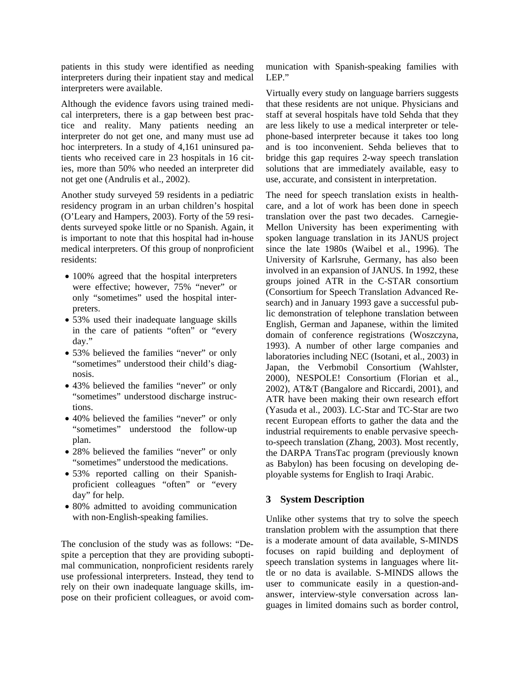patients in this study were identified as needing interpreters during their inpatient stay and medical interpreters were available.

Although the evidence favors using trained medical interpreters, there is a gap between best practice and reality. Many patients needing an interpreter do not get one, and many must use ad hoc interpreters. In a study of 4,161 uninsured patients who received care in 23 hospitals in 16 cities, more than 50% who needed an interpreter did not get one (Andrulis et al., 2002).

Another study surveyed 59 residents in a pediatric residency program in an urban children's hospital (O'Leary and Hampers, 2003). Forty of the 59 residents surveyed spoke little or no Spanish. Again, it is important to note that this hospital had in-house medical interpreters. Of this group of nonproficient residents:

- 100% agreed that the hospital interpreters were effective; however, 75% "never" or only "sometimes" used the hospital interpreters.
- 53% used their inadequate language skills in the care of patients "often" or "every day."
- 53% believed the families "never" or only "sometimes" understood their child's diagnosis.
- 43% believed the families "never" or only "sometimes" understood discharge instructions.
- 40% believed the families "never" or only "sometimes" understood the follow-up plan.
- 28% believed the families "never" or only "sometimes" understood the medications.
- 53% reported calling on their Spanishproficient colleagues "often" or "every day" for help.
- 80% admitted to avoiding communication with non-English-speaking families.

The conclusion of the study was as follows: "Despite a perception that they are providing suboptimal communication, nonproficient residents rarely use professional interpreters. Instead, they tend to rely on their own inadequate language skills, impose on their proficient colleagues, or avoid communication with Spanish-speaking families with LEP."

Virtually every study on language barriers suggests that these residents are not unique. Physicians and staff at several hospitals have told Sehda that they are less likely to use a medical interpreter or telephone-based interpreter because it takes too long and is too inconvenient. Sehda believes that to bridge this gap requires 2-way speech translation solutions that are immediately available, easy to use, accurate, and consistent in interpretation.

The need for speech translation exists in healthcare, and a lot of work has been done in speech translation over the past two decades. Carnegie-Mellon University has been experimenting with spoken language translation in its JANUS project since the late 1980s (Waibel et al., 1996). The University of Karlsruhe, Germany, has also been involved in an expansion of JANUS. In 1992, these groups joined ATR in the C-STAR consortium (Consortium for Speech Translation Advanced Research) and in January 1993 gave a successful public demonstration of telephone translation between English, German and Japanese, within the limited domain of conference registrations (Woszczyna, 1993). A number of other large companies and laboratories including NEC (Isotani, et al., 2003) in Japan, the Verbmobil Consortium (Wahlster, 2000), NESPOLE! Consortium (Florian et al., 2002), AT&T (Bangalore and Riccardi, 2001), and ATR have been making their own research effort (Yasuda et al., 2003). LC-Star and TC-Star are two recent European efforts to gather the data and the industrial requirements to enable pervasive speechto-speech translation (Zhang, 2003). Most recently, the DARPA TransTac program (previously known as Babylon) has been focusing on developing deployable systems for English to Iraqi Arabic.

# **3 System Description**

Unlike other systems that try to solve the speech translation problem with the assumption that there is a moderate amount of data available, S-MINDS focuses on rapid building and deployment of speech translation systems in languages where little or no data is available. S-MINDS allows the user to communicate easily in a question-andanswer, interview-style conversation across languages in limited domains such as border control,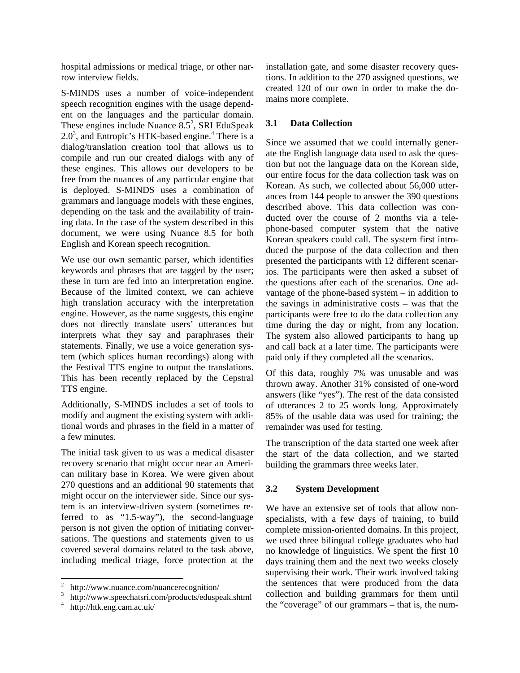hospital admissions or medical triage, or other narrow interview fields.

S-MINDS uses a number of voice-independent speech recognition engines with the usage dependent on the languages and the particular domain. These engines include Nuance  $8.5^2$ , SRI EduSpeak  $2.0<sup>3</sup>$ , and Entropic's HTK-based engine.<sup>4</sup> There is a dialog/translation creation tool that allows us to compile and run our created dialogs with any of these engines. This allows our developers to be free from the nuances of any particular engine that is deployed. S-MINDS uses a combination of grammars and language models with these engines, depending on the task and the availability of training data. In the case of the system described in this document, we were using Nuance 8.5 for both English and Korean speech recognition.

We use our own semantic parser, which identifies keywords and phrases that are tagged by the user; these in turn are fed into an interpretation engine. Because of the limited context, we can achieve high translation accuracy with the interpretation engine. However, as the name suggests, this engine does not directly translate users' utterances but interprets what they say and paraphrases their statements. Finally, we use a voice generation system (which splices human recordings) along with the Festival TTS engine to output the translations. This has been recently replaced by the Cepstral TTS engine.

Additionally, S-MINDS includes a set of tools to modify and augment the existing system with additional words and phrases in the field in a matter of a few minutes.

The initial task given to us was a medical disaster recovery scenario that might occur near an American military base in Korea. We were given about 270 questions and an additional 90 statements that might occur on the interviewer side. Since our system is an interview-driven system (sometimes referred to as "1.5-way"), the second-language person is not given the option of initiating conversations. The questions and statements given to us covered several domains related to the task above, including medical triage, force protection at the installation gate, and some disaster recovery questions. In addition to the 270 assigned questions, we created 120 of our own in order to make the domains more complete.

#### **3.1 Data Collection**

Since we assumed that we could internally generate the English language data used to ask the question but not the language data on the Korean side, our entire focus for the data collection task was on Korean. As such, we collected about 56,000 utterances from 144 people to answer the 390 questions described above. This data collection was conducted over the course of 2 months via a telephone-based computer system that the native Korean speakers could call. The system first introduced the purpose of the data collection and then presented the participants with 12 different scenarios. The participants were then asked a subset of the questions after each of the scenarios. One advantage of the phone-based system – in addition to the savings in administrative costs – was that the participants were free to do the data collection any time during the day or night, from any location. The system also allowed participants to hang up and call back at a later time. The participants were paid only if they completed all the scenarios.

Of this data, roughly 7% was unusable and was thrown away. Another 31% consisted of one-word answers (like "yes"). The rest of the data consisted of utterances 2 to 25 words long. Approximately 85% of the usable data was used for training; the remainder was used for testing.

The transcription of the data started one week after the start of the data collection, and we started building the grammars three weeks later.

#### **3.2 System Development**

We have an extensive set of tools that allow nonspecialists, with a few days of training, to build complete mission-oriented domains. In this project, we used three bilingual college graduates who had no knowledge of linguistics. We spent the first 10 days training them and the next two weeks closely supervising their work. Their work involved taking the sentences that were produced from the data collection and building grammars for them until the "coverage" of our grammars – that is, the num-

<sup>&</sup>lt;sup>2</sup> http://www.nuance.com/nuancerecognition/

<sup>3</sup> http://www.speechatsri.com/products/eduspeak.shtml 4

http://htk.eng.cam.ac.uk/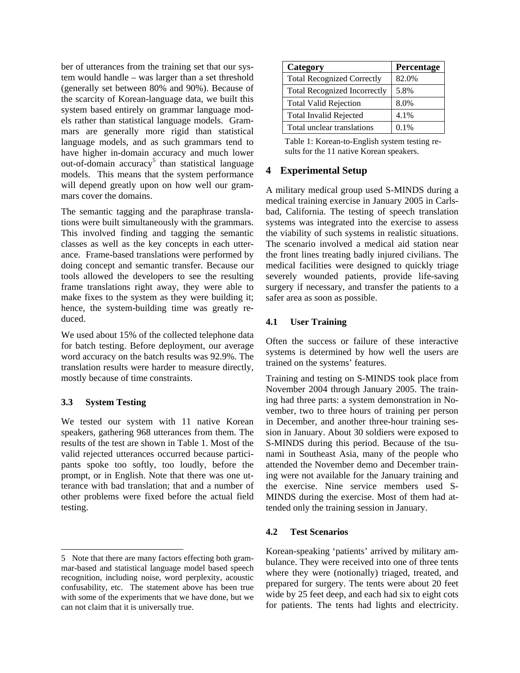ber of utterances from the training set that our system would handle – was larger than a set threshold (generally set between 80% and 90%). Because of the scarcity of Korean-language data, we built this system based entirely on grammar language models rather than statistical language models. Grammars are generally more rigid than statistical language models, and as such grammars tend to have higher in-domain accuracy and much lower out-of-domain accuracy<sup>5</sup> than statistical language models. This means that the system performance will depend greatly upon on how well our grammars cover the domains.

The semantic tagging and the paraphrase translations were built simultaneously with the grammars. This involved finding and tagging the semantic classes as well as the key concepts in each utterance. Frame-based translations were performed by doing concept and semantic transfer. Because our tools allowed the developers to see the resulting frame translations right away, they were able to make fixes to the system as they were building it; hence, the system-building time was greatly reduced.

We used about 15% of the collected telephone data for batch testing. Before deployment, our average word accuracy on the batch results was 92.9%. The translation results were harder to measure directly, mostly because of time constraints.

#### **3.3 System Testing**

l

We tested our system with 11 native Korean speakers, gathering 968 utterances from them. The results of the test are shown in Table 1. Most of the valid rejected utterances occurred because participants spoke too softly, too loudly, before the prompt, or in English. Note that there was one utterance with bad translation; that and a number of other problems were fixed before the actual field testing.

| Category                            | Percentage |
|-------------------------------------|------------|
| <b>Total Recognized Correctly</b>   | 82.0%      |
| <b>Total Recognized Incorrectly</b> | 5.8%       |
| <b>Total Valid Rejection</b>        | 8.0%       |
| <b>Total Invalid Rejected</b>       | 4.1%       |
| Total unclear translations          | $0.1\%$    |

Table 1: Korean-to-English system testing results for the 11 native Korean speakers.

# **4 Experimental Setup**

A military medical group used S-MINDS during a medical training exercise in January 2005 in Carlsbad, California. The testing of speech translation systems was integrated into the exercise to assess the viability of such systems in realistic situations. The scenario involved a medical aid station near the front lines treating badly injured civilians. The medical facilities were designed to quickly triage severely wounded patients, provide life-saving surgery if necessary, and transfer the patients to a safer area as soon as possible.

#### **4.1 User Training**

Often the success or failure of these interactive systems is determined by how well the users are trained on the systems' features.

Training and testing on S-MINDS took place from November 2004 through January 2005. The training had three parts: a system demonstration in November, two to three hours of training per person in December, and another three-hour training session in January. About 30 soldiers were exposed to S-MINDS during this period. Because of the tsunami in Southeast Asia, many of the people who attended the November demo and December training were not available for the January training and the exercise. Nine service members used S-MINDS during the exercise. Most of them had attended only the training session in January.

#### **4.2 Test Scenarios**

Korean-speaking 'patients' arrived by military ambulance. They were received into one of three tents where they were (notionally) triaged, treated, and prepared for surgery. The tents were about 20 feet wide by 25 feet deep, and each had six to eight cots for patients. The tents had lights and electricity.

<sup>5</sup> Note that there are many factors effecting both grammar-based and statistical language model based speech recognition, including noise, word perplexity, acoustic confusability, etc. The statement above has been true with some of the experiments that we have done, but we can not claim that it is universally true.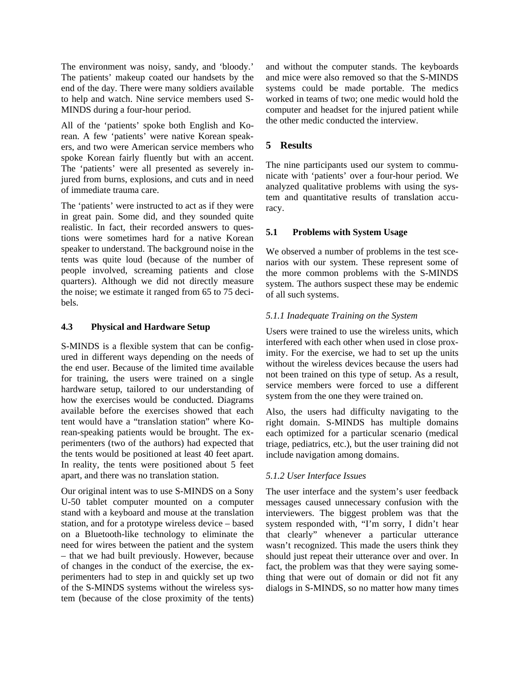The environment was noisy, sandy, and 'bloody.' The patients' makeup coated our handsets by the end of the day. There were many soldiers available to help and watch. Nine service members used S-MINDS during a four-hour period.

All of the 'patients' spoke both English and Korean. A few 'patients' were native Korean speakers, and two were American service members who spoke Korean fairly fluently but with an accent. The 'patients' were all presented as severely injured from burns, explosions, and cuts and in need of immediate trauma care.

The 'patients' were instructed to act as if they were in great pain. Some did, and they sounded quite realistic. In fact, their recorded answers to questions were sometimes hard for a native Korean speaker to understand. The background noise in the tents was quite loud (because of the number of people involved, screaming patients and close quarters). Although we did not directly measure the noise; we estimate it ranged from 65 to 75 decibels.

### **4.3 Physical and Hardware Setup**

S-MINDS is a flexible system that can be configured in different ways depending on the needs of the end user. Because of the limited time available for training, the users were trained on a single hardware setup, tailored to our understanding of how the exercises would be conducted. Diagrams available before the exercises showed that each tent would have a "translation station" where Korean-speaking patients would be brought. The experimenters (two of the authors) had expected that the tents would be positioned at least 40 feet apart. In reality, the tents were positioned about 5 feet apart, and there was no translation station.

Our original intent was to use S-MINDS on a Sony U-50 tablet computer mounted on a computer stand with a keyboard and mouse at the translation station, and for a prototype wireless device – based on a Bluetooth-like technology to eliminate the need for wires between the patient and the system – that we had built previously. However, because of changes in the conduct of the exercise, the experimenters had to step in and quickly set up two of the S-MINDS systems without the wireless system (because of the close proximity of the tents)

and without the computer stands. The keyboards and mice were also removed so that the S-MINDS systems could be made portable. The medics worked in teams of two; one medic would hold the computer and headset for the injured patient while the other medic conducted the interview.

# **5 Results**

The nine participants used our system to communicate with 'patients' over a four-hour period. We analyzed qualitative problems with using the system and quantitative results of translation accuracy.

### **5.1 Problems with System Usage**

We observed a number of problems in the test scenarios with our system. These represent some of the more common problems with the S-MINDS system. The authors suspect these may be endemic of all such systems.

### *5.1.1 Inadequate Training on the System*

Users were trained to use the wireless units, which interfered with each other when used in close proximity. For the exercise, we had to set up the units without the wireless devices because the users had not been trained on this type of setup. As a result, service members were forced to use a different system from the one they were trained on.

Also, the users had difficulty navigating to the right domain. S-MINDS has multiple domains each optimized for a particular scenario (medical triage, pediatrics, etc.), but the user training did not include navigation among domains.

#### *5.1.2 User Interface Issues*

The user interface and the system's user feedback messages caused unnecessary confusion with the interviewers. The biggest problem was that the system responded with, "I'm sorry, I didn't hear that clearly" whenever a particular utterance wasn't recognized. This made the users think they should just repeat their utterance over and over. In fact, the problem was that they were saying something that were out of domain or did not fit any dialogs in S-MINDS, so no matter how many times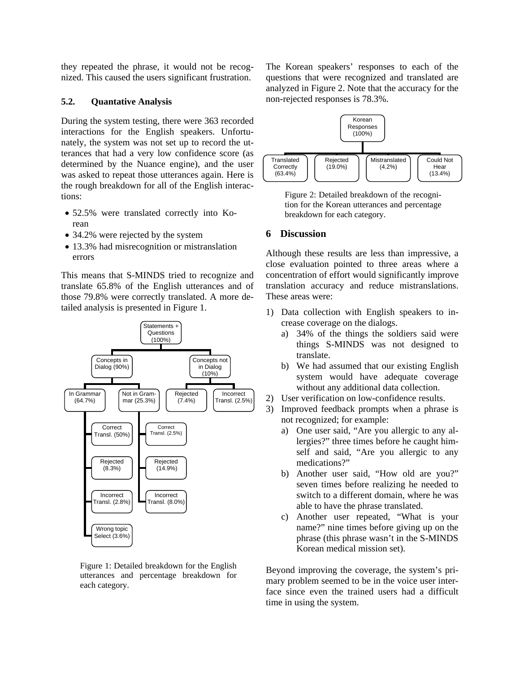they repeated the phrase, it would not be recognized. This caused the users significant frustration.

#### **5.2. Quantative Analysis**

During the system testing, there were 363 recorded interactions for the English speakers. Unfortunately, the system was not set up to record the utterances that had a very low confidence score (as determined by the Nuance engine), and the user was asked to repeat those utterances again. Here is the rough breakdown for all of the English interactions:

- 52.5% were translated correctly into Korean
- 34.2% were rejected by the system
- 13.3% had misrecognition or mistranslation errors

This means that S-MINDS tried to recognize and translate 65.8% of the English utterances and of those 79.8% were correctly translated. A more detailed analysis is presented in Figure 1.



Figure 1: Detailed breakdown for the English utterances and percentage breakdown for each category.

The Korean speakers' responses to each of the questions that were recognized and translated are analyzed in Figure 2. Note that the accuracy for the non-rejected responses is 78.3%.



Figure 2: Detailed breakdown of the recognition for the Korean utterances and percentage breakdown for each category.

#### **6 Discussion**

Although these results are less than impressive, a close evaluation pointed to three areas where a concentration of effort would significantly improve translation accuracy and reduce mistranslations. These areas were:

- 1) Data collection with English speakers to increase coverage on the dialogs.
	- a) 34% of the things the soldiers said were things S-MINDS was not designed to translate.
	- b) We had assumed that our existing English system would have adequate coverage without any additional data collection.
- 2) User verification on low-confidence results.
- 3) Improved feedback prompts when a phrase is not recognized; for example:
	- a) One user said, "Are you allergic to any allergies?" three times before he caught himself and said, "Are you allergic to any medications?"
	- b) Another user said, "How old are you?" seven times before realizing he needed to switch to a different domain, where he was able to have the phrase translated.
	- c) Another user repeated, "What is your name?" nine times before giving up on the phrase (this phrase wasn't in the S-MINDS Korean medical mission set).

Beyond improving the coverage, the system's primary problem seemed to be in the voice user interface since even the trained users had a difficult time in using the system.